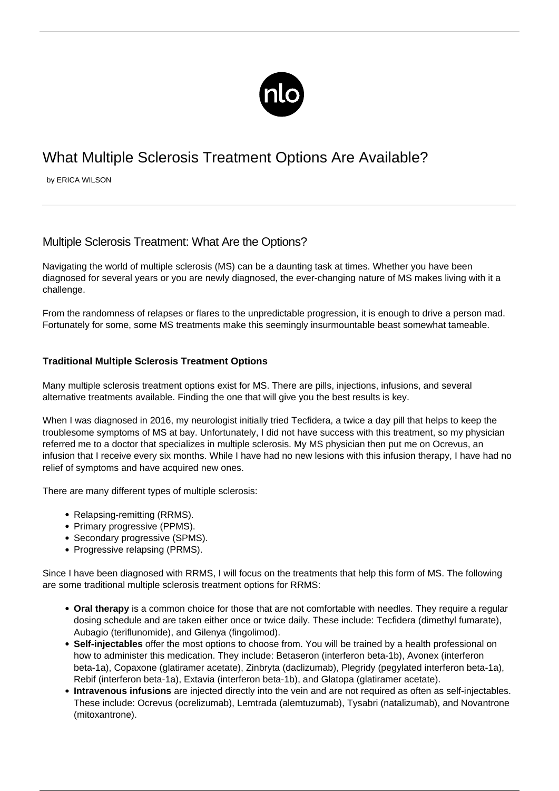

# What Multiple Sclerosis Treatment Options Are Available?

by ERICA WILSON

# Multiple Sclerosis Treatment: What Are the Options?

Navigating the world of [multiple sclerosis](/what-is-ms/) (MS) can be a daunting task at times. Whether you have been diagnosed for several years or you are newly diagnosed, the ever-changing nature of MS makes living with it a challenge.

From the randomness of relapses or flares to the unpredictable progression, it is enough to drive a person mad. Fortunately for some, some MS treatments make this seemingly insurmountable beast somewhat tameable.

# **Traditional Multiple Sclerosis Treatment Options**

Many multiple sclerosis treatment options exist for MS. There are pills, injections, infusions, and several alternative treatments available. Finding the one that will give you the best results is key.

When I was diagnosed in 2016, my neurologist initially tried Tecfidera, a twice a day pill that helps to keep the troublesome symptoms of MS at bay. Unfortunately, I did not have success with this treatment, so my physician referred me to a doctor that specializes in multiple sclerosis. My MS physician then put me on Ocrevus, an infusion that I receive every six months. While I have had no new lesions with this infusion therapy, I have had no relief of symptoms and have acquired new ones.

There are many different [types of multiple sclerosis:](/types-ms/)

- Relapsing-remitting (RRMS).
- Primary progressive (PPMS).
- Secondary progressive (SPMS).
- Progressive relapsing (PRMS).

Since I have been diagnosed with RRMS, I will focus on the treatments that help this form of MS. The following are some traditional multiple sclerosis treatment options for RRMS:

- **Oral therapy** is a common choice for those that are not comfortable with needles. They require a regular dosing schedule and are taken either once or twice daily. These include: Tecfidera (dimethyl fumarate), Aubagio (teriflunomide), and Gilenya (fingolimod).
- **Self-injectables** offer the most options to choose from. You will be trained by a health professional on how to administer this medication. They include: Betaseron (interferon beta-1b), Avonex (interferon beta-1a), Copaxone (glatiramer acetate), Zinbryta (daclizumab), Plegridy (pegylated interferon beta-1a), Rebif (interferon beta-1a), Extavia (interferon beta-1b), and Glatopa (glatiramer acetate).
- **Intravenous infusions** are injected directly into the vein and are not required as often as self-injectables. These include: Ocrevus (ocrelizumab), Lemtrada (alemtuzumab), Tysabri (natalizumab), and Novantrone (mitoxantrone).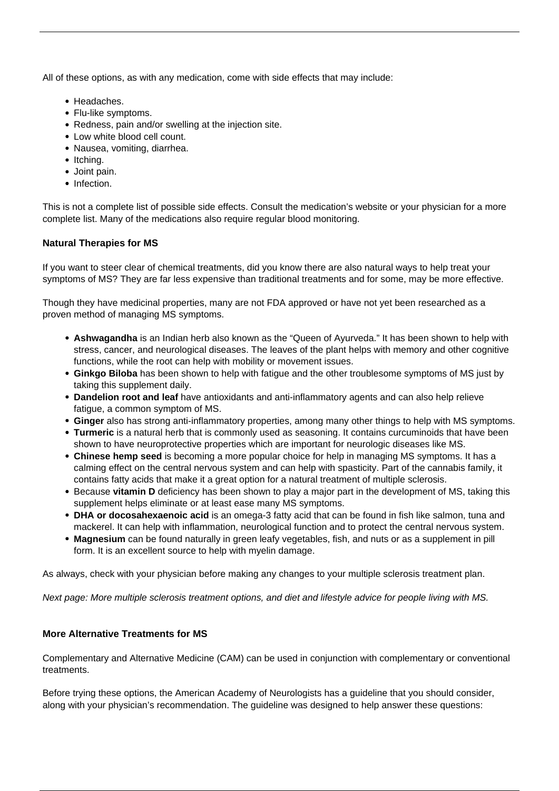All of these options, as with any medication, come with side effects that may include:

- Headaches.
- Flu-like symptoms.
- Redness, pain and/or swelling at the injection site.
- Low white blood cell count.
- Nausea, vomiting, diarrhea.
- Itching.
- Joint pain.
- Infection.

This is not a complete list of possible side effects. Consult the medication's website or your physician for a more complete list. Many of the medications also require regular blood monitoring.

#### **Natural Therapies for MS**

If you want to steer clear of chemical treatments, did you know there are also [natural ways to help treat your](/natural-healing-methods/) [symptoms of MS?](/natural-healing-methods/) They are far less expensive than traditional treatments and for some, may be more effective.

Though they have medicinal properties, many are not FDA approved or have not yet been researched as a proven method of managing MS symptoms.

- **Ashwagandha** is an Indian herb also known as the "Queen of Ayurveda." It has been shown to help with stress, cancer, and neurological diseases. The leaves of the plant helps with memory and other cognitive functions, while the root can help with mobility or movement issues.
- **Ginkgo Biloba** has been shown to help with fatigue and the other troublesome symptoms of MS just by taking this supplement daily.
- **Dandelion root and leaf** have antioxidants and anti-inflammatory agents and can also help relieve fatigue, a common symptom of MS.
- **Ginger** also has strong anti-inflammatory properties, among many other things to help with MS symptoms.
- **Turmeric** is a natural herb that is commonly used as seasoning. It contains curcuminoids that have been shown to have neuroprotective properties which are important for neurologic diseases like MS.
- **Chinese hemp seed** is becoming a more popular choice for help in managing MS symptoms. It has a calming effect on the central nervous system and can help with spasticity. Part of the cannabis family, it contains fatty acids that make it a great option for a natural treatment of multiple sclerosis.
- **Because vitamin D** deficiency has been shown to play a major part in the development of MS, taking this supplement helps eliminate or at least ease many MS symptoms.
- **DHA or docosahexaenoic acid** is an omega-3 fatty acid that can be found in fish like salmon, tuna and mackerel. It can help with inflammation, neurological function and to protect the central nervous system.
- **Magnesium** can be found naturally in green leafy vegetables, fish, and nuts or as a supplement in pill form. It is an excellent source to help with myelin damage.

As always, check with your physician before making any changes to your multiple sclerosis treatment plan.

Next page: More multiple sclerosis treatment options, and diet and lifestyle advice for people living with MS.

# **More Alternative Treatments for MS**

Complementary and Alternative Medicine (CAM) can be used in conjunction with complementary or conventional treatments.

Before trying these options, the American Academy of Neurologists has a guideline that you should consider, along with your physician's recommendation. The guideline was designed to help answer these questions: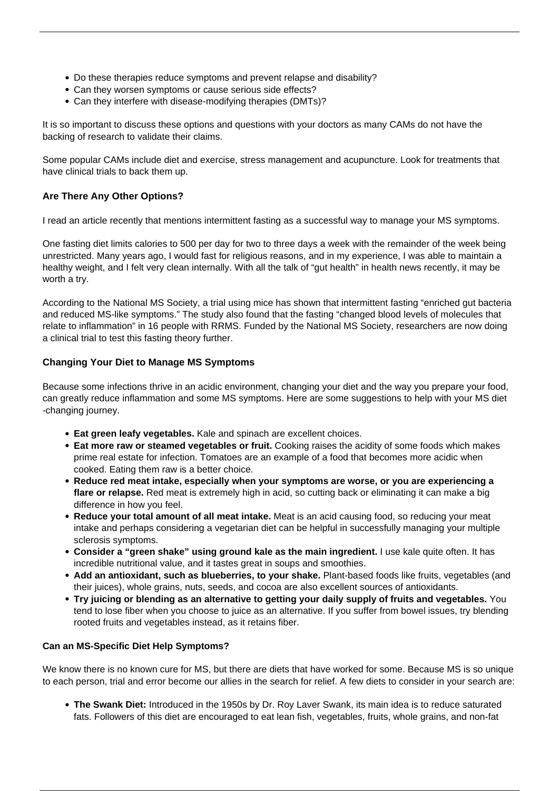- Do these therapies reduce symptoms and prevent relapse and disability?
- Can they worsen symptoms or cause serious side effects?
- Can they interfere with disease-modifying therapies (DMTs)?

It is so important to discuss these options and questions with your doctors as many CAMs do not have the backing of research to validate their claims.

Some popular CAMs include diet and exercise, stress management and acupuncture. Look for treatments that have clinical trials to back them up.

# **Are There Any Other Options?**

I read an article recently that mentions intermittent fasting as a successful way to manage your MS symptoms.

One fasting diet limits calories to 500 per day for two to three days a week with the remainder of the week being unrestricted. Many years ago, I would fast for religious reasons, and in my experience, I was able to maintain a healthy weight, and I felt very clean internally. With all the talk of "gut health" in health news recently, it may be worth a try.

According to the National MS Society, a trial using mice has shown that intermittent fasting "enriched gut bacteria and reduced MS-like symptoms." The study also found that the fasting "changed blood levels of molecules that relate to inflammation" in 16 people with RRMS. Funded by the National MS Society, researchers are now doing a clinical trial to test this fasting theory further.

#### **Changing Your Diet to Manage MS Symptoms**

Because some infections thrive in an acidic environment, changing your diet and the way you prepare your food, can greatly reduce inflammation and some MS symptoms. Here are some suggestions to help with your [MS diet](/ms-diet-information/) -changing journey.

- **Eat green leafy vegetables.** Kale and spinach are excellent choices.
- **Eat more raw or steamed vegetables or fruit.** Cooking raises the acidity of some foods which makes prime real estate for infection. Tomatoes are an example of a food that becomes more acidic when cooked. Eating them raw is a better choice.
- **Reduce red meat intake, especially when your symptoms are worse, or you are experiencing a flare or relapse.** Red meat is extremely high in acid, so cutting back or eliminating it can make a big difference in how you feel.
- **Reduce your total amount of all meat intake.** Meat is an acid causing food, so reducing your meat intake and perhaps considering a vegetarian diet can be helpful in successfully managing your multiple sclerosis symptoms.
- **Consider a "green shake" using ground kale as the main ingredient.** I use kale quite often. It has incredible nutritional value, and it tastes great in soups and smoothies.
- **Add an antioxidant, such as blueberries, to your shake.** Plant-based foods like fruits, vegetables (and their juices), whole grains, nuts, seeds, and cocoa are also excellent sources of antioxidants.
- **Try juicing or blending as an alternative to getting your daily supply of fruits and vegetables.** You tend to lose fiber when you choose to juice as an alternative. If you suffer from bowel issues, try blending rooted fruits and vegetables instead, as it retains fiber.

#### **Can an MS-Specific Diet Help Symptoms?**

We know there is no known cure for MS, but there are diets that have worked for some. Because MS is so unique to each person, trial and error become our allies in the search for relief. A few diets to consider in your search are:

**The Swank Diet:** Introduced in the 1950s by Dr. Roy Laver Swank, its main idea is to reduce saturated fats. Followers of this diet are encouraged to eat lean fish, vegetables, fruits, whole grains, and non-fat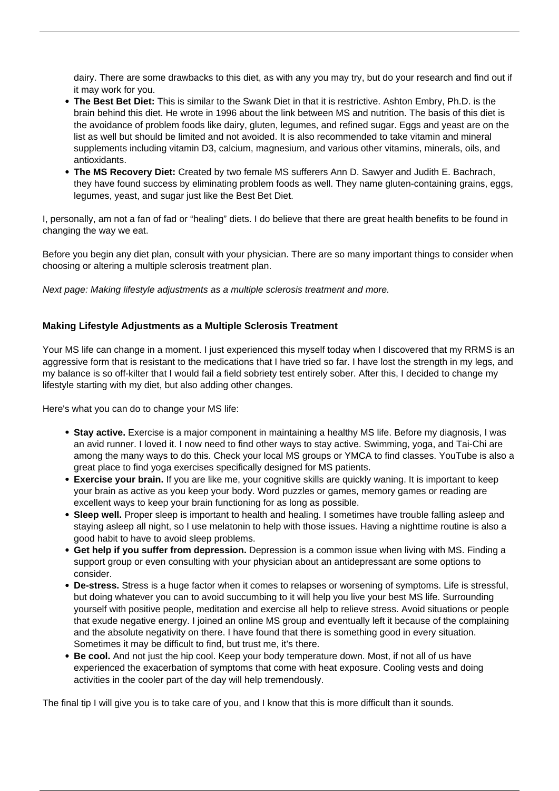dairy. There are some drawbacks to this diet, as with any you may try, but do your research and find out if it may work for you.

- **The Best Bet Diet:** This is similar to the Swank Diet in that it is restrictive. Ashton Embry, Ph.D. is the brain behind this diet. He wrote in 1996 about the link between MS and nutrition. The basis of this diet is the avoidance of problem foods like dairy, gluten, legumes, and refined sugar. Eggs and yeast are on the list as well but should be limited and not avoided. It is also recommended to take vitamin and mineral supplements including vitamin D3, calcium, magnesium, and various other vitamins, minerals, oils, and antioxidants.
- **The MS Recovery Diet:** Created by two female MS sufferers Ann D. Sawyer and Judith E. Bachrach, they have found success by eliminating problem foods as well. They name gluten-containing grains, eggs, legumes, yeast, and sugar just like the Best Bet Diet.

I, personally, am not a fan of fad or "healing" diets. I do believe that there are great health benefits to be found in changing the way we eat.

Before you begin any diet plan, consult with your physician. There are so many important things to consider when choosing or altering a multiple sclerosis treatment plan.

Next page: Making lifestyle adjustments as a multiple sclerosis treatment and more.

#### **Making Lifestyle Adjustments as a Multiple Sclerosis Treatment**

Your MS life can change in a moment. I just experienced this myself today when I discovered that my RRMS is an aggressive form that is resistant to the medications that I have tried so far. I have lost the strength in my legs, and my balance is so off-kilter that I would fail a field sobriety test entirely sober. After this, I decided to change my lifestyle starting with my diet, but also adding other changes.

Here's what you can do to change your MS life:

- **Stay active.** Exercise is a major component in maintaining a healthy MS life. Before my diagnosis, I was an avid runner. I loved it. I now need to find other ways to stay active. Swimming, yoga, and Tai-Chi are among the many ways to do this. Check your local MS groups or YMCA to find classes. YouTube is also a great place to find yoga exercises specifically designed for MS patients.
- **Exercise your brain.** If you are like me, your cognitive skills are quickly waning. It is important to keep your brain as active as you keep your body. Word puzzles or games, memory games or reading are excellent ways to keep your brain functioning for as long as possible.
- Sleep well. Proper sleep is important to health and healing. I sometimes have trouble falling asleep and staying asleep all night, so I use melatonin to help with those issues. Having a nighttime routine is also a good habit to have to avoid sleep problems.
- **Get help if you suffer from depression.** Depression is a common issue when [living with MS](/how-lifestyle-changes-help/). Finding a support group or even consulting with your physician about an antidepressant are some options to consider.
- **De-stress.** Stress is a huge factor when it comes to relapses or worsening of symptoms. Life is stressful, but doing whatever you can to avoid succumbing to it will help you live your best MS life. Surrounding yourself with positive people, meditation and exercise all help to relieve stress. Avoid situations or people that exude negative energy. I joined an online MS group and eventually left it because of the complaining and the absolute negativity on there. I have found that there is something good in every situation. Sometimes it may be difficult to find, but trust me, it's there.
- **Be cool.** And not just the hip cool. Keep your body temperature down. Most, if not all of us have experienced the exacerbation of symptoms that come with heat exposure. Cooling vests and doing activities in the cooler part of the day will help tremendously.

The final tip I will give you is to take care of you, and I know that this is more difficult than it sounds.